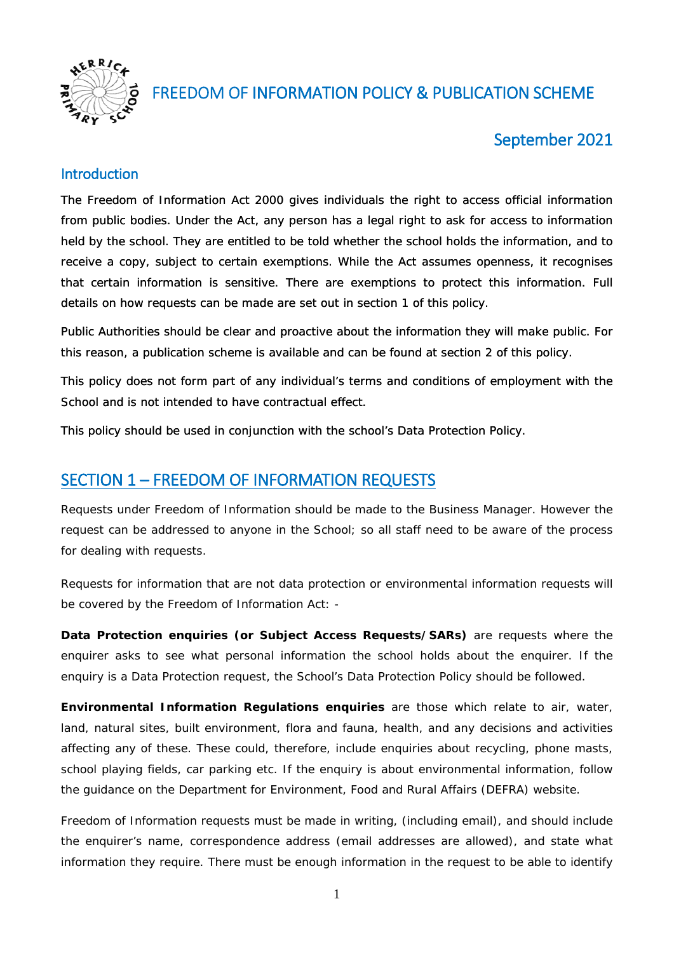

# FREEDOM OF INFORMATION POLICY & PUBLICATION SCHEME

# September 2021

#### Introduction

The Freedom of Information Act 2000 gives individuals the right to access official information from public bodies. Under the Act, any person has a legal right to ask for access to information held by the school. They are entitled to be told whether the school holds the information, and to receive a copy, subject to certain exemptions. While the Act assumes openness, it recognises that certain information is sensitive. There are exemptions to protect this information. Full details on how requests can be made are set out in section 1 of this policy.

Public Authorities should be clear and proactive about the information they will make public. For this reason, a publication scheme is available and can be found at section 2 of this policy.

This policy does not form part of any individual's terms and conditions of employment with the School and is not intended to have contractual effect.

This policy should be used in conjunction with the school's Data Protection Policy.

## SECTION 1 – FREEDOM OF INFORMATION REQUESTS

Requests under Freedom of Information should be made to the Business Manager. However the request can be addressed to anyone in the School; so all staff need to be aware of the process for dealing with requests.

Requests for information that are not data protection or environmental information requests will be covered by the Freedom of Information Act: -

*Data Protection enquiries (or Subject Access Requests/SARs)* are requests where the enquirer asks to see what personal information the school holds about the enquirer. If the enquiry is a Data Protection request, the School's Data Protection Policy should be followed.

*Environmental Information Requlations enquiries* are those which relate to air, water, land, natural sites, built environment, flora and fauna, health, and any decisions and activities affecting any of these. These could, therefore, include enquiries about recycling, phone masts, school playing fields, car parking etc. If the enquiry is about environmental information, follow the guidance on the Department for Environment, Food and Rural Affairs (DEFRA) website.

Freedom of Information requests *must* be made in writing, (including email), and should include the enquirer's name, correspondence address (email addresses are allowed), and state what information they require. There must be enough information in the request to be able to identify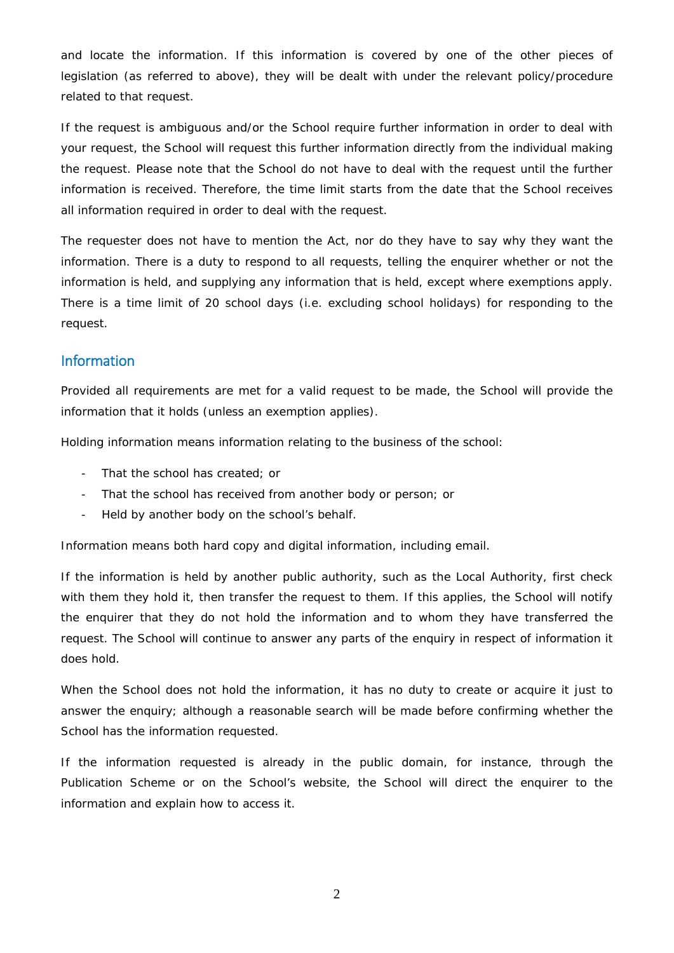and locate the information. If this information is covered by one of the other pieces of legislation (as referred to above), they will be dealt with under the relevant policy/procedure related to that request.

If the request is ambiguous and/or the School require further information in order to deal with your request, the School will request this further information directly from the individual making the request. Please note that the School do not have to deal with the request until the further information is received. Therefore, the time limit starts from the date that the School receives all information required in order to deal with the request.

The requester does not have to mention the Act, nor do they have to say why they want the information. There is a duty to respond to all requests, telling the enquirer whether or not the information is held, and supplying any information that is held, except where exemptions apply. There is a time limit of 20 school days (i.e. excluding school holidays) for responding to the request.

#### Information

Provided all requirements are met for a valid request to be made, the School will provide the information that it holds (unless an exemption applies).

*Holding* information means information relating to the business of the school:

- That the school has created; or
- That the school has received from another body or person; or
- Held by another body on the school's behalf.

Information means both hard copy and digital information, including email.

If the information is held by another public authority, such as the Local Authority, first check with them they hold it, then transfer the request to them. If this applies, the School will notify the enquirer that they do not hold the information and to whom they have transferred the request. The School will continue to answer any parts of the enquiry in respect of information it does hold.

When the School does not hold the information, it has *no duty to create or acquire it* just to answer the enquiry; although a reasonable search will be made before confirming whether the School has the information requested.

If the information requested is already in the public domain, for instance, through the Publication Scheme or on the School's website, the School will direct the enquirer to the information and explain how to access it.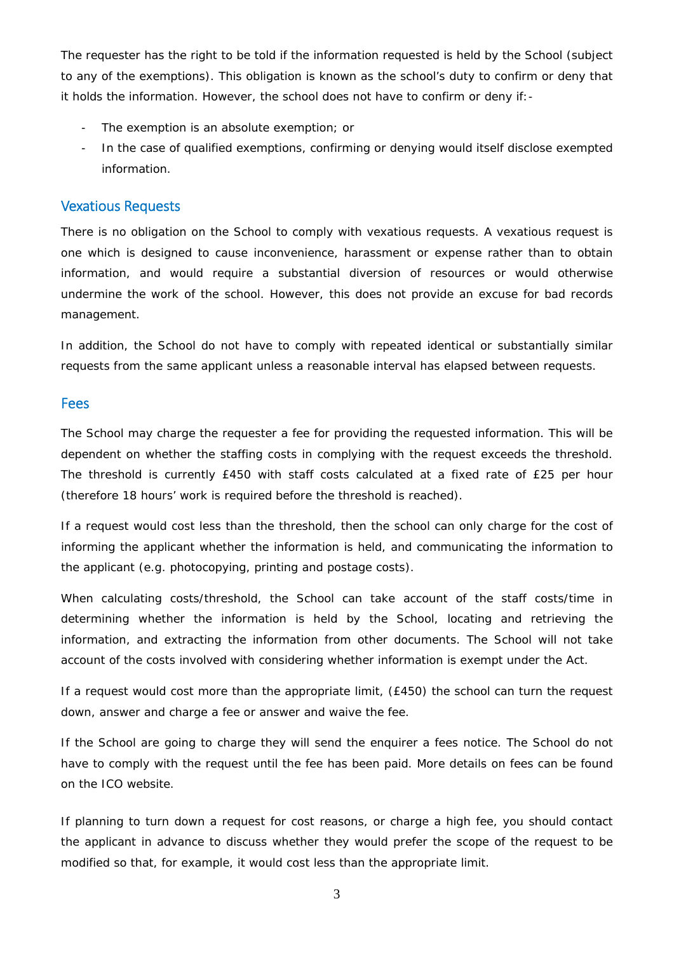The requester has the right to be told if the information requested is held by the School (subject to any of the exemptions). This obligation is known as the school's *duty to confirm or deny* that it holds the information. However, the school does not have to confirm or deny if:-

- The exemption is an absolute exemption; or
- In the case of qualified exemptions, confirming or denying would itself disclose exempted information.

#### Vexatious Requests

There is no obligation on the School to comply with vexatious requests. A vexatious request is one which is designed to cause inconvenience, harassment or expense rather than to obtain information, and would require a substantial diversion of resources or would otherwise undermine the work of the school. However, this does not provide an excuse for bad records management.

In addition, the School do not have to comply with repeated identical or substantially similar requests from the same applicant unless a reasonable interval has elapsed between requests.

#### Fees

The School may charge the requester a fee for providing the requested information. This will be dependent on whether the staffing costs in complying with the request exceeds the threshold. The threshold is currently £450 with staff costs calculated at a fixed rate of £25 per hour (therefore 18 hours' work is required before the threshold is reached).

If a request would cost less than the threshold, then the school can only charge for the cost of informing the applicant whether the information is held, and communicating the information to the applicant (e.g. photocopying, printing and postage costs).

When calculating costs/threshold, the School can take account of the staff costs/time in determining whether the information is held by the School, locating and retrieving the information, and extracting the information from other documents. The School will not take account of the costs involved with considering whether information is exempt under the Act.

If a request would cost more than the appropriate limit, (£450) the school can turn the request down, answer and charge a fee or answer and waive the fee.

If the School are going to charge they will send the enquirer a fees notice. The School do not have to comply with the request until the fee has been paid. More details on fees can be found on the ICO website.

If planning to turn down a request for cost reasons, or charge a high fee, you should contact the applicant in advance to discuss whether they would prefer the scope of the request to be modified so that, for example, it would cost less than the appropriate limit.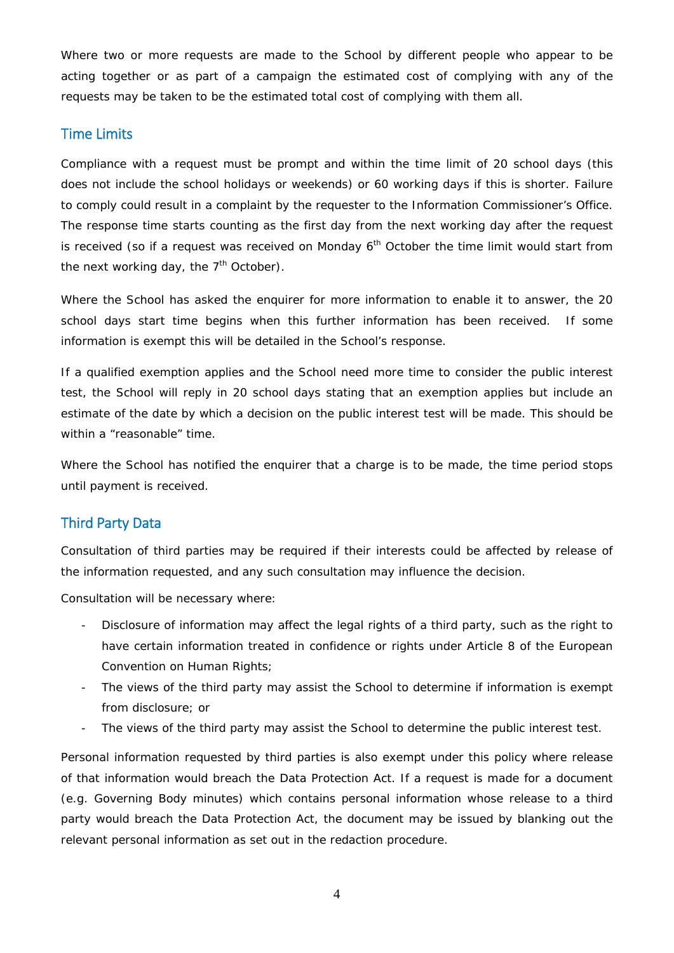Where two or more requests are made to the School by different people who appear to be acting together or as part of a campaign the estimated cost of complying with any of the requests may be taken to be the estimated total cost of complying with them all.

#### Time Limits

Compliance with a request must be prompt and within the time limit of 20 school days (this does not include the school holidays or weekends) or 60 working days if this is shorter. Failure to comply could result in a complaint by the requester to the Information Commissioner's Office. The response time starts counting as the first day from the next working day after the request is received (so if a request was received on Monday  $6<sup>th</sup>$  October the time limit would start from the next working day, the  $7<sup>th</sup>$  October).

Where the School has asked the enquirer for more information to enable it to answer, the 20 school days start time begins when this further information has been received. If some information is exempt this will be detailed in the School's response.

If a qualified exemption applies and the School need more time to consider the public interest test, the School will reply in 20 school days stating that an exemption applies but include an estimate of the date by which a decision on the public interest test will be made. This should be within a "reasonable" time.

Where the School has notified the enquirer that a charge is to be made, the time period stops until payment is received.

### Third Party Data

Consultation of third parties may be required if their interests could be affected by release of the information requested, and any such consultation may influence the decision.

Consultation will be necessary where:

- Disclosure of information may affect the legal rights of a third party, such as the right to have certain information treated in confidence or rights under Article 8 of the European Convention on Human Rights:
- The views of the third party may assist the School to determine if information is exempt from disclosure; or
- The views of the third party may assist the School to determine the public interest test.

Personal information requested by third parties is also exempt under this policy where release of that information would breach the Data Protection Act. If a request is made for a document (e.g. Governing Body minutes) which contains personal information whose release to a third party would breach the Data Protection Act, the document may be issued by blanking out the relevant personal information as set out in the redaction procedure.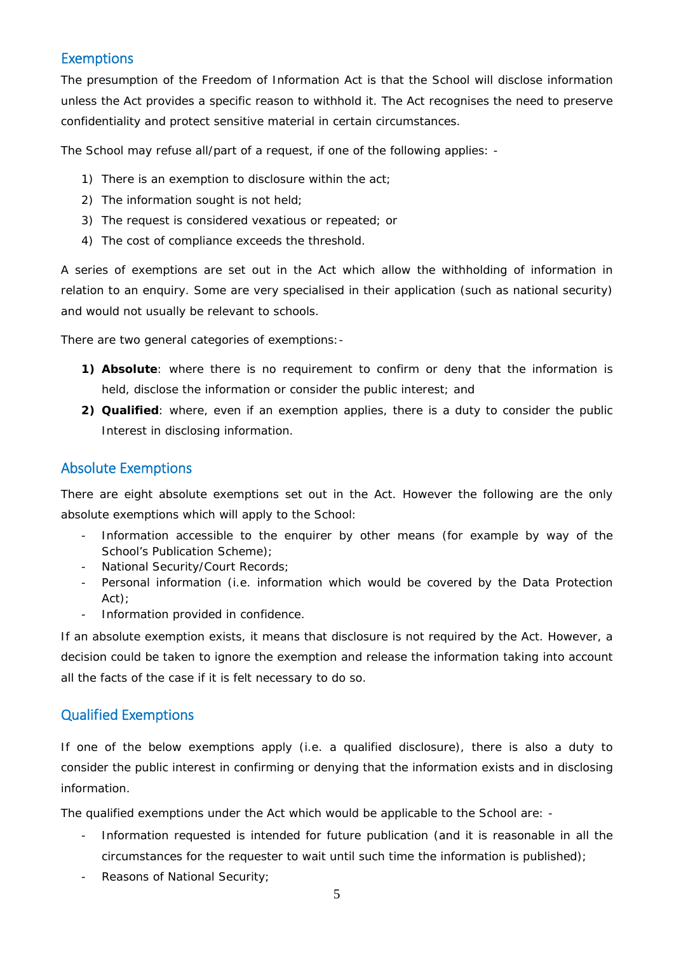### **Exemptions**

The presumption of the Freedom of Information Act is that the School will disclose information unless the Act provides a specific reason to withhold it. The Act recognises the need to preserve confidentiality and protect sensitive material in certain circumstances.

The School may refuse all/part of a request, if one of the following applies: -

- 1) There is an exemption to disclosure within the act;
- 2) The information sought is not held;
- 3) The request is considered vexatious or repeated; or
- 4) The cost of compliance exceeds the threshold.

A series of exemptions are set out in the Act which allow the withholding of information in relation to an enquiry. Some are very specialised in their application (such as national security) and would not usually be relevant to schools.

There are two general categories of exemptions:-

- **1) Absolute**: where there is no requirement to confirm or deny that the information is held, disclose the information or consider the public interest; and
- **2) Qualified**: where, even if an exemption applies, there is a duty to consider the public Interest in disclosing information.

### Absolute Exemptions

There are eight absolute exemptions set out in the Act. However the following are the only absolute exemptions which will apply to the School:

- Information accessible to the enquirer by other means (for example by way of the School's Publication Scheme);
- National Security/Court Records;
- Personal information (i.e. information which would be covered by the Data Protection Act);
- Information provided in confidence.

If an absolute exemption exists, it means that disclosure is not required by the Act. However, a decision could be taken to ignore the exemption and release the information taking into account all the facts of the case if it is felt necessary to do so.

### Qualified Exemptions

If one of the below exemptions apply (i.e. a qualified disclosure), there is also a duty to consider the public interest in confirming or denying that the information exists and in disclosing information.

The qualified exemptions under the Act which would be applicable to the School are: -

- Information requested is intended for future publication (and it is reasonable in all the circumstances for the requester to wait until such time the information is published);
- Reasons of National Security;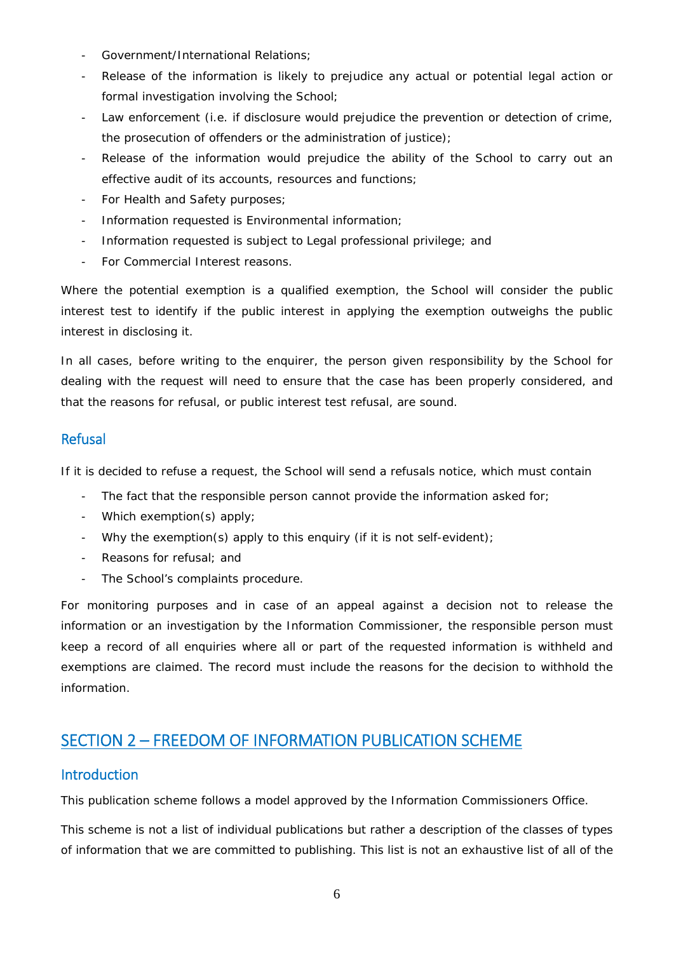- Government/International Relations;
- Release of the information is likely to prejudice any actual or potential legal action or formal investigation involving the School;
- Law enforcement (i.e. if disclosure would prejudice the prevention or detection of crime, the prosecution of offenders or the administration of justice);
- Release of the information would prejudice the ability of the School to carry out an effective audit of its accounts, resources and functions;
- For Health and Safety purposes;
- Information requested is Environmental information;
- Information requested is subject to Legal professional privilege; and
- For *Commercial Interest* reasons.

Where the potential exemption is a qualified exemption, the School will consider the public interest test to identify if the public interest in applying the exemption outweighs the public interest in disclosing it.

In all cases, before writing to the enquirer, the person given responsibility by the School for dealing with the request will need to ensure that the case has been properly considered, and that the reasons for refusal, or public interest test refusal, are sound.

#### Refusal

If it is decided to refuse a request, the School will send a refusals notice, which must contain

- The fact that the responsible person cannot provide the information asked for;
- Which exemption(s) apply;
- Why the exemption(s) apply to this enquiry (if it is not self-evident);
- Reasons for refusal; and
- The School's complaints procedure.

For monitoring purposes and in case of an appeal against a decision not to release the information or an investigation by the Information Commissioner, the responsible person must keep a record of all enquiries where all or part of the requested information is withheld and exemptions are claimed. The record must include the reasons for the decision to withhold the information.

## SECTION 2 – FREEDOM OF INFORMATION PUBLICATION SCHEME

#### Introduction

This publication scheme follows a model approved by the Information Commissioners Office.

This scheme is not a list of individual publications but rather a description of the classes of types of information that we are committed to publishing. This list is not an exhaustive list of all of the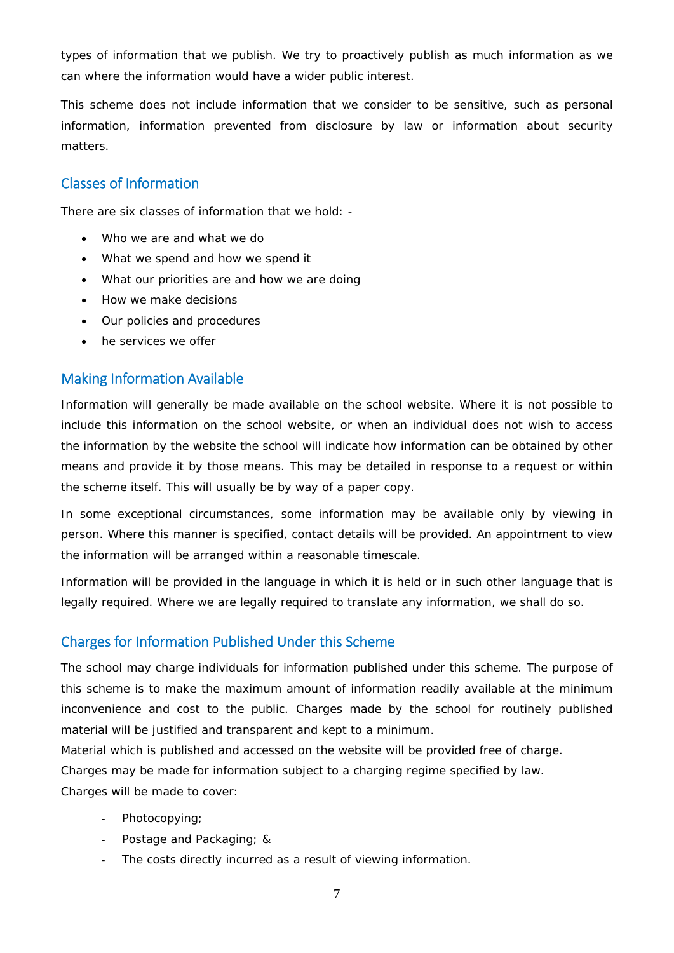types of information that we publish. We try to proactively publish as much information as we can where the information would have a wider public interest.

This scheme does not include information that we consider to be sensitive, such as personal information, information prevented from disclosure by law or information about security matters.

### Classes of Information

There are six classes of information that we hold: -

- Who we are and what we do
- What we spend and how we spend it
- What our priorities are and how we are doing
- How we make decisions
- Our policies and procedures
- he services we offer

#### Making Information Available

Information will generally be made available on the school website. Where it is not possible to include this information on the school website, or when an individual does not wish to access the information by the website the school will indicate how information can be obtained by other means and provide it by those means. This may be detailed in response to a request or within the scheme itself. This will usually be by way of a paper copy.

In some exceptional circumstances, some information may be available only by viewing in person. Where this manner is specified, contact details will be provided. An appointment to view the information will be arranged within a reasonable timescale.

Information will be provided in the language in which it is held or in such other language that is legally required. Where we are legally required to translate any information, we shall do so.

### Charges for Information Published Under this Scheme

The school may charge individuals for information published under this scheme. The purpose of this scheme is to make the maximum amount of information readily available at the minimum inconvenience and cost to the public. Charges made by the school for routinely published material will be justified and transparent and kept to a minimum.

Material which is published and accessed on the website will be provided free of charge.

Charges may be made for information subject to a charging regime specified by law.

Charges will be made to cover:

- ‐ Photocopying;
- ‐ Postage and Packaging; &
- ‐ The costs directly incurred as a result of viewing information.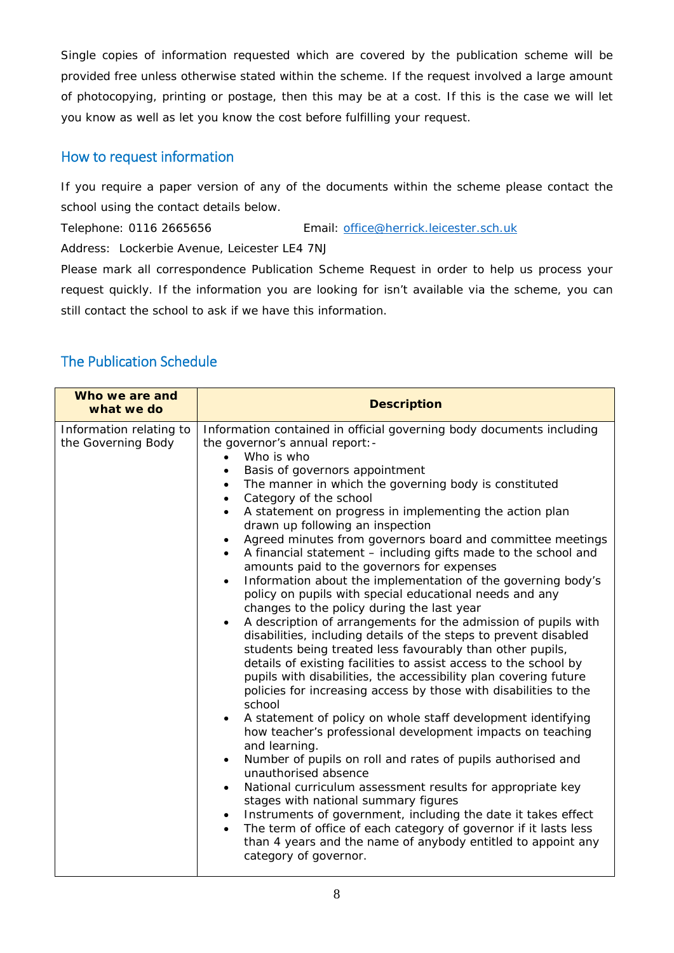Single copies of information requested which are covered by the publication scheme will be provided free unless otherwise stated within the scheme. If the request involved a large amount of photocopying, printing or postage, then this may be at a cost. If this is the case we will let you know as well as let you know the cost before fulfilling your request.

#### How to request information

If you require a paper version of any of the documents within the scheme please contact the school using the contact details below.

Telephone: 0116 2665656 Email: [office@herrick.leicester.sch.uk](mailto:office@herrick.leicester.sch.uk)

Address: Lockerbie Avenue, Leicester LE4 7NJ

Please mark all correspondence *Publication Scheme Request* in order to help us process your request quickly. If the information you are looking for isn't available via the scheme, you can still contact the school to ask if we have this information.

### The Publication Schedule

| Who we are and<br>what we do                  | <b>Description</b>                                                                                                                                                                                                                                                                                                                                                                                                                                                                                                                                                                                                                                                                                                                                                                                                                                                                                                                                                                                                                                                                                                                                                                                                                                                                                                                                                                                                                                                                                                                                                                                                                                                                                                                                                  |
|-----------------------------------------------|---------------------------------------------------------------------------------------------------------------------------------------------------------------------------------------------------------------------------------------------------------------------------------------------------------------------------------------------------------------------------------------------------------------------------------------------------------------------------------------------------------------------------------------------------------------------------------------------------------------------------------------------------------------------------------------------------------------------------------------------------------------------------------------------------------------------------------------------------------------------------------------------------------------------------------------------------------------------------------------------------------------------------------------------------------------------------------------------------------------------------------------------------------------------------------------------------------------------------------------------------------------------------------------------------------------------------------------------------------------------------------------------------------------------------------------------------------------------------------------------------------------------------------------------------------------------------------------------------------------------------------------------------------------------------------------------------------------------------------------------------------------------|
| Information relating to<br>the Governing Body | Information contained in official governing body documents including<br>the governor's annual report:-<br>Who is who<br>Basis of governors appointment<br>The manner in which the governing body is constituted<br>Category of the school<br>A statement on progress in implementing the action plan<br>drawn up following an inspection<br>Agreed minutes from governors board and committee meetings<br>A financial statement - including gifts made to the school and<br>amounts paid to the governors for expenses<br>Information about the implementation of the governing body's<br>$\bullet$<br>policy on pupils with special educational needs and any<br>changes to the policy during the last year<br>A description of arrangements for the admission of pupils with<br>$\bullet$<br>disabilities, including details of the steps to prevent disabled<br>students being treated less favourably than other pupils,<br>details of existing facilities to assist access to the school by<br>pupils with disabilities, the accessibility plan covering future<br>policies for increasing access by those with disabilities to the<br>school<br>A statement of policy on whole staff development identifying<br>how teacher's professional development impacts on teaching<br>and learning.<br>Number of pupils on roll and rates of pupils authorised and<br>$\bullet$<br>unauthorised absence<br>National curriculum assessment results for appropriate key<br>$\bullet$<br>stages with national summary figures<br>Instruments of government, including the date it takes effect<br>$\bullet$<br>The term of office of each category of governor if it lasts less<br>than 4 years and the name of anybody entitled to appoint any<br>category of governor. |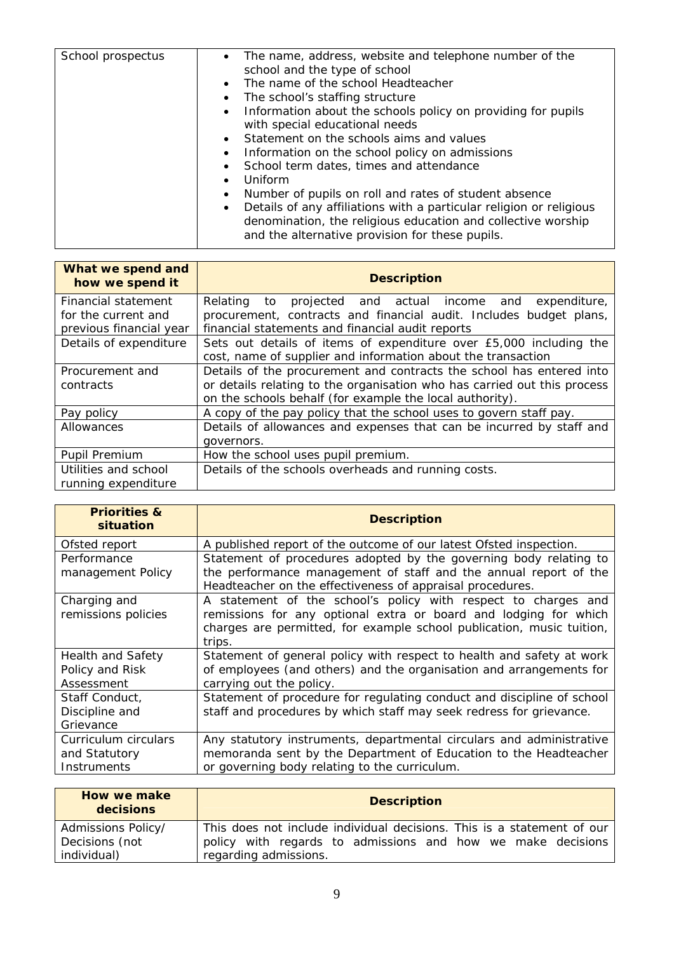| School prospectus | • The name, address, website and telephone number of the<br>school and the type of school<br>• The name of the school Headteacher<br>• The school's staffing structure<br>• Information about the schools policy on providing for pupils<br>with special educational needs<br>• Statement on the schools aims and values |
|-------------------|--------------------------------------------------------------------------------------------------------------------------------------------------------------------------------------------------------------------------------------------------------------------------------------------------------------------------|
|                   |                                                                                                                                                                                                                                                                                                                          |
|                   |                                                                                                                                                                                                                                                                                                                          |
|                   | Information on the school policy on admissions<br>$\bullet$                                                                                                                                                                                                                                                              |
|                   | • School term dates, times and attendance                                                                                                                                                                                                                                                                                |
|                   | Uniform<br>$\bullet$                                                                                                                                                                                                                                                                                                     |
|                   | Number of pupils on roll and rates of student absence                                                                                                                                                                                                                                                                    |
|                   | Details of any affiliations with a particular religion or religious<br>$\bullet$                                                                                                                                                                                                                                         |
|                   | denomination, the religious education and collective worship                                                                                                                                                                                                                                                             |
|                   | and the alternative provision for these pupils.                                                                                                                                                                                                                                                                          |
|                   |                                                                                                                                                                                                                                                                                                                          |

| What we spend and<br>how we spend it | <b>Description</b>                                                       |
|--------------------------------------|--------------------------------------------------------------------------|
| Financial statement                  | projected and actual income and<br>expenditure,<br>Relating to           |
| for the current and                  | procurement, contracts and financial audit. Includes budget plans,       |
| previous financial year              | financial statements and financial audit reports                         |
| Details of expenditure               | Sets out details of items of expenditure over £5,000 including the       |
|                                      | cost, name of supplier and information about the transaction             |
| Procurement and                      | Details of the procurement and contracts the school has entered into     |
| contracts                            | or details relating to the organisation who has carried out this process |
|                                      | on the schools behalf (for example the local authority).                 |
| Pay policy                           | A copy of the pay policy that the school uses to govern staff pay.       |
| Allowances                           | Details of allowances and expenses that can be incurred by staff and     |
|                                      | governors.                                                               |
| Pupil Premium                        | How the school uses pupil premium.                                       |
| Utilities and school                 | Details of the schools overheads and running costs.                      |
| running expenditure                  |                                                                          |

| <b>Priorities &amp;</b><br>situation                      | <b>Description</b>                                                                                                                                                                                                    |
|-----------------------------------------------------------|-----------------------------------------------------------------------------------------------------------------------------------------------------------------------------------------------------------------------|
| Ofsted report                                             | A published report of the outcome of our latest Ofsted inspection.                                                                                                                                                    |
| Performance<br>management Policy                          | Statement of procedures adopted by the governing body relating to<br>the performance management of staff and the annual report of the<br>Headteacher on the effectiveness of appraisal procedures.                    |
| Charging and<br>remissions policies                       | A statement of the school's policy with respect to charges and<br>remissions for any optional extra or board and lodging for which<br>charges are permitted, for example school publication, music tuition,<br>trips. |
| <b>Health and Safety</b><br>Policy and Risk<br>Assessment | Statement of general policy with respect to health and safety at work<br>of employees (and others) and the organisation and arrangements for<br>carrying out the policy.                                              |
| Staff Conduct,<br>Discipline and<br>Grievance             | Statement of procedure for regulating conduct and discipline of school<br>staff and procedures by which staff may seek redress for grievance.                                                                         |
| Curriculum circulars<br>and Statutory<br>Instruments      | Any statutory instruments, departmental circulars and administrative<br>memoranda sent by the Department of Education to the Headteacher<br>or governing body relating to the curriculum.                             |

| How we make<br>decisions | <b>Description</b>                                                     |
|--------------------------|------------------------------------------------------------------------|
| Admissions Policy/       | This does not include individual decisions. This is a statement of our |
| Decisions (not           | policy with regards to admissions and how we make decisions            |
| individual)              | regarding admissions.                                                  |